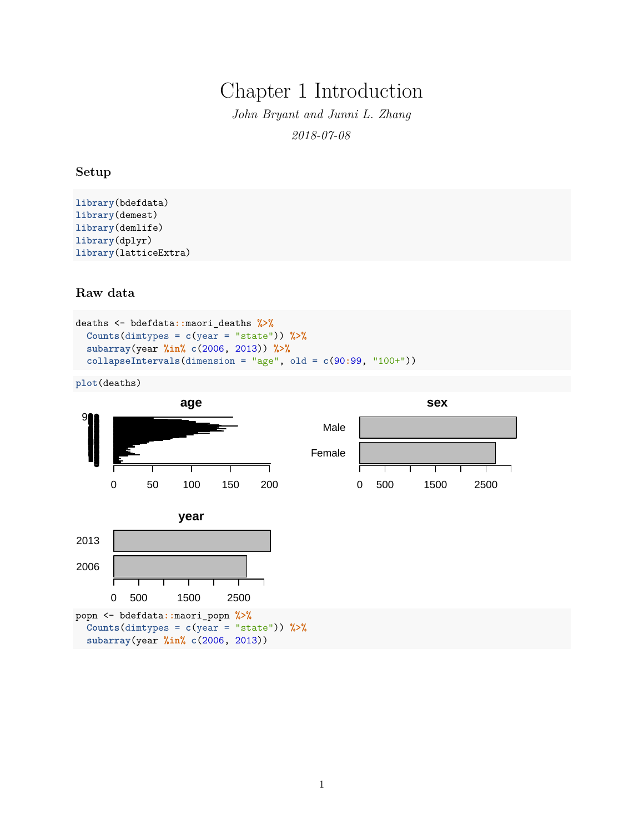# Chapter 1 Introduction

*John Bryant and Junni L. Zhang 2018-07-08*

## **Setup**

```
library(bdefdata)
library(demest)
library(demlife)
library(dplyr)
library(latticeExtra)
```
## **Raw data**

```
deaths <- bdefdata::maori_deaths %>%
  Counts(dimtypes = c(year = "state")) %>%
  subarray(year %in% c(2006, 2013)) %>%
  collapseIntervals(dimension = "age", old = c(90:99, "100+"))
```
**plot**(deaths)

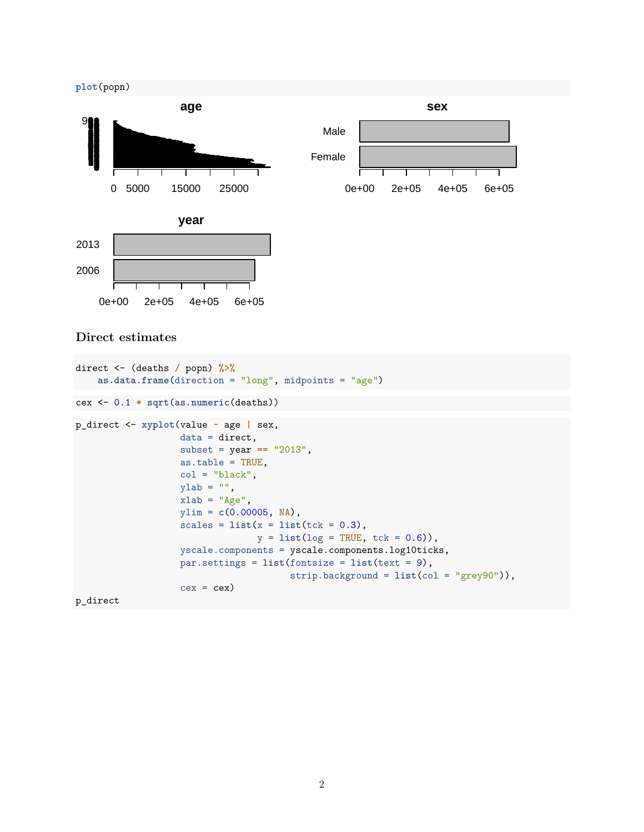

## **Direct estimates**

```
direct <- (deaths / popn) %>%
    as.data.frame(direction = "long", midpoints = "age")
cex <- 0.1 * sqrt(as.numeric(deaths))
p_direct <- xyplot(value ~ age | sex,
                   data = direct,
                   subset = year == "2013",
                   as.table = TRUE,
                   col = "black",ylab = "",
                   xlab = "Age",ylim = c(0.00005, NA),
                   scales = list(x = list(tck = 0.3),y = list(log = TRUE, tck = 0.6)),
                   yscale.components = yscale.components.log10ticks,
                   par.settings = list(fontsize = list(text = 9),
                                       strip.background = list(col = "grey90")),
                   cex = cex
```
p\_direct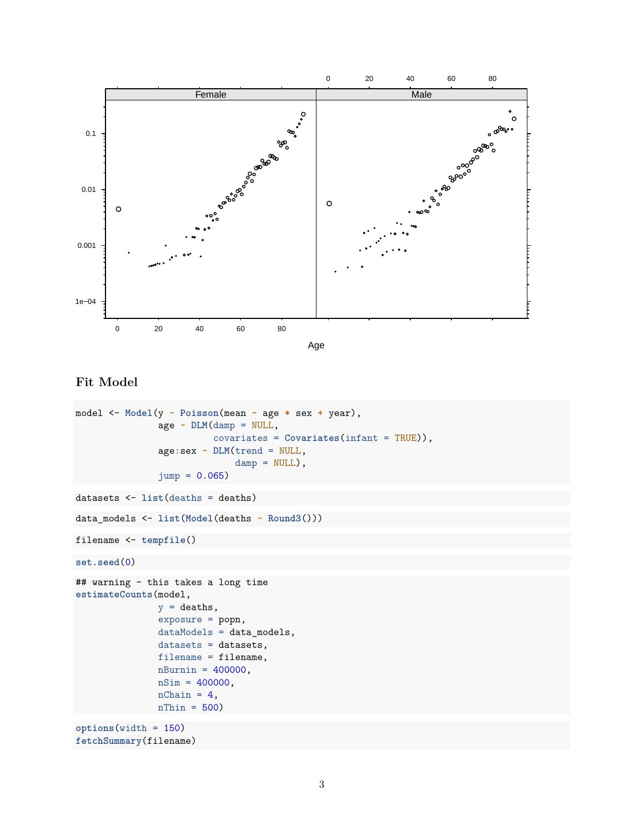



```
Fit Model
```

```
model <- Model(y ~ Poisson(mean ~ age * sex + year),
               age ~ DLM(damp = NULL,
                         covariates = Covariates(infant = TRUE)),
               age:sex ~ DLM(trend = NULL,
                             damp = NULL,
               jump = 0.065)datasets <- list(deaths = deaths)
data_models <- list(Model(deaths ~ Round3()))
filename <- tempfile()
set.seed(0)
## warning - this takes a long time
estimateCounts(model,
               y = deaths,
               exposure = popn,
               dataModels = data_models,
               datasets = datasets,
               filename = filename,
               n\text{Burnin} = 400000,nSim = 400000,nChain = 4,
               nThin = 500options(width = 150)
fetchSummary(filename)
```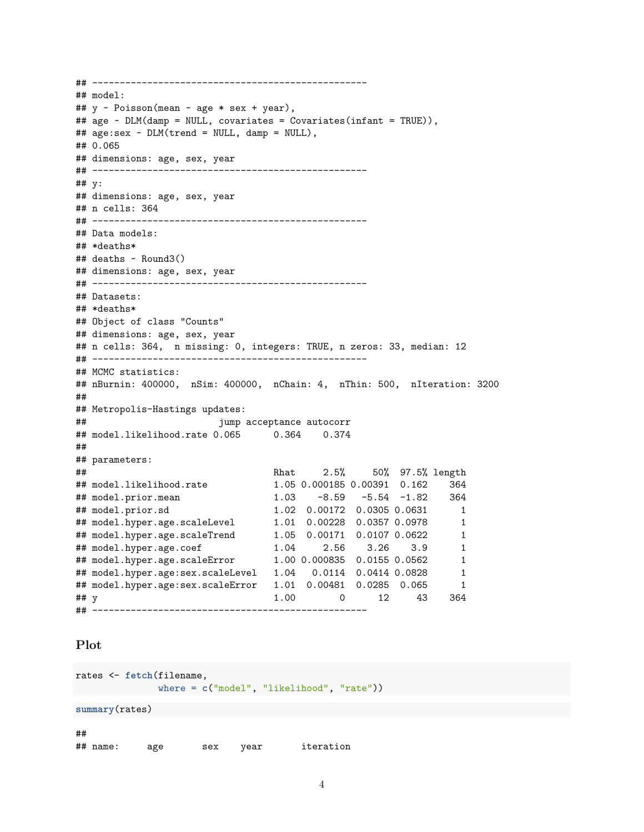```
## --------------------------------------------------
## model:
## y ~ Poisson(mean ~ age * sex + year),
## age ~ DLM(damp = NULL, covariates = Covariates(infant = TRUE)),
## age:sex ~ DLM(trend = NULL, damp = NULL),
## 0.065
## dimensions: age, sex, year
## --------------------------------------------------
## y:
## dimensions: age, sex, year
## n cells: 364
## --------------------------------------------------
## Data models:
## *deaths*
## deaths ~ Round3()
## dimensions: age, sex, year
## --------------------------------------------------
## Datasets:
## *deaths*
## Object of class "Counts"
## dimensions: age, sex, year
## n cells: 364, n missing: 0, integers: TRUE, n zeros: 33, median: 12
## --------------------------------------------------
## MCMC statistics:
## nBurnin: 400000, nSim: 400000, nChain: 4, nThin: 500, nIteration: 3200
##
## Metropolis-Hastings updates:
## jump acceptance autocorr
## model.likelihood.rate 0.065 0.364 0.374
##
## parameters:
## Rhat 2.5% 50% 97.5% length
## model.likelihood.rate 1.05 0.000185 0.00391 0.162 364
## model.prior.mean 1.03 -8.59 -5.54 -1.82 364
## model.prior.sd 1.02 0.00172 0.0305 0.0631 1
## model.hyper.age.scaleLevel 1.01 0.00228 0.0357 0.0978 1
## model.hyper.age.scaleTrend 1.05 0.00171 0.0107 0.0622 1
## model.hyper.age.coef 1.04 2.56 3.26 3.9 1
## model.hyper.age.scaleError 1.00 0.000835 0.0155 0.0562 1
## model.hyper.age:sex.scaleLevel 1.04 0.0114 0.0414 0.0828 1
## model.hyper.age:sex.scaleError 1.01 0.00481 0.0285 0.065 1
## y 1.00 0 12 43 364
## --------------------------------------------------
```
## **Plot**

```
rates <- fetch(filename,
where = c("model", "likelihood", "rate"))
```
**summary**(rates)

## ## name: age sex year iteration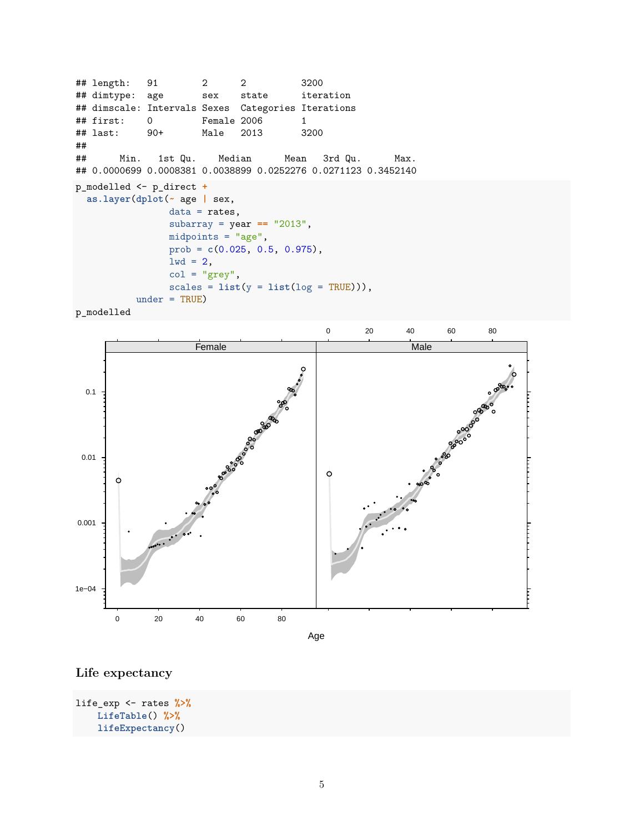## length: 91 2 2 3200 ## dimtype: age sex state iteration ## dimscale: Intervals Sexes Categories Iterations ## first: 0 Female 2006 1 ## last: 90+ Male 2013 3200 ## ## Min. 1st Qu. Median Mean 3rd Qu. Max. ## 0.0000699 0.0008381 0.0038899 0.0252276 0.0271123 0.3452140 p\_modelled <- p\_direct **+ as.layer**(**dplot**(**~** age **|** sex, data = rates, subarray = year **==** "2013",  $midpoints = "age",$ prob = **c**(0.025, 0.5, 0.975),  $1wd = 2$ ,  $col = "grey",$  $scales = list(y = list(log = TRUE))$ ,  $under = TRUE$ )





Age

# **Life expectancy**

```
life_exp <- rates %>%
    LifeTable() %>%
    lifeExpectancy()
```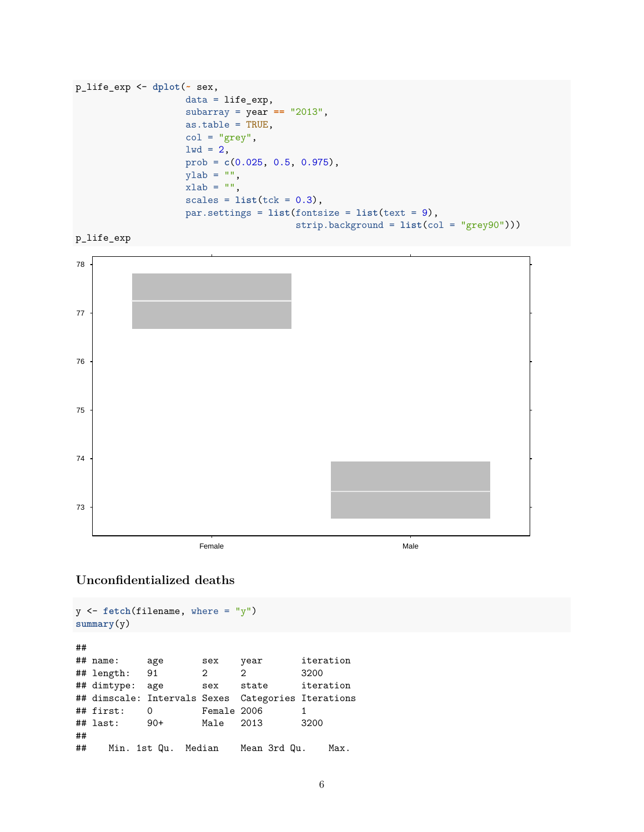```
p_life_exp <- dplot(~ sex,
                    data = life_{exp},
                    subarray = year == "2013",
                    as.table = TRUE,
                    col = "grey",1wd = 2,
                    prob = c(0.025, 0.5, 0.975),
                    ylab = "",
                    xlab = "",
                    scales = list(tck = 0.3),par.settings = list(fontsize = list(text = 9),
                                        strip.background = list(col = "grey90")))
```




# **Unconfidentialized deaths**

```
y <- fetch(filename, where = "y")
summary(y)
##
## name: age sex year iteration
## length: 91 2 2 3200
## dimtype: age sex state iteration
## dimscale: Intervals Sexes Categories Iterations
## first: 0 Female 2006 1
## last: 90+ Male 2013 3200
##
## Min. 1st Qu. Median Mean 3rd Qu. Max.
```